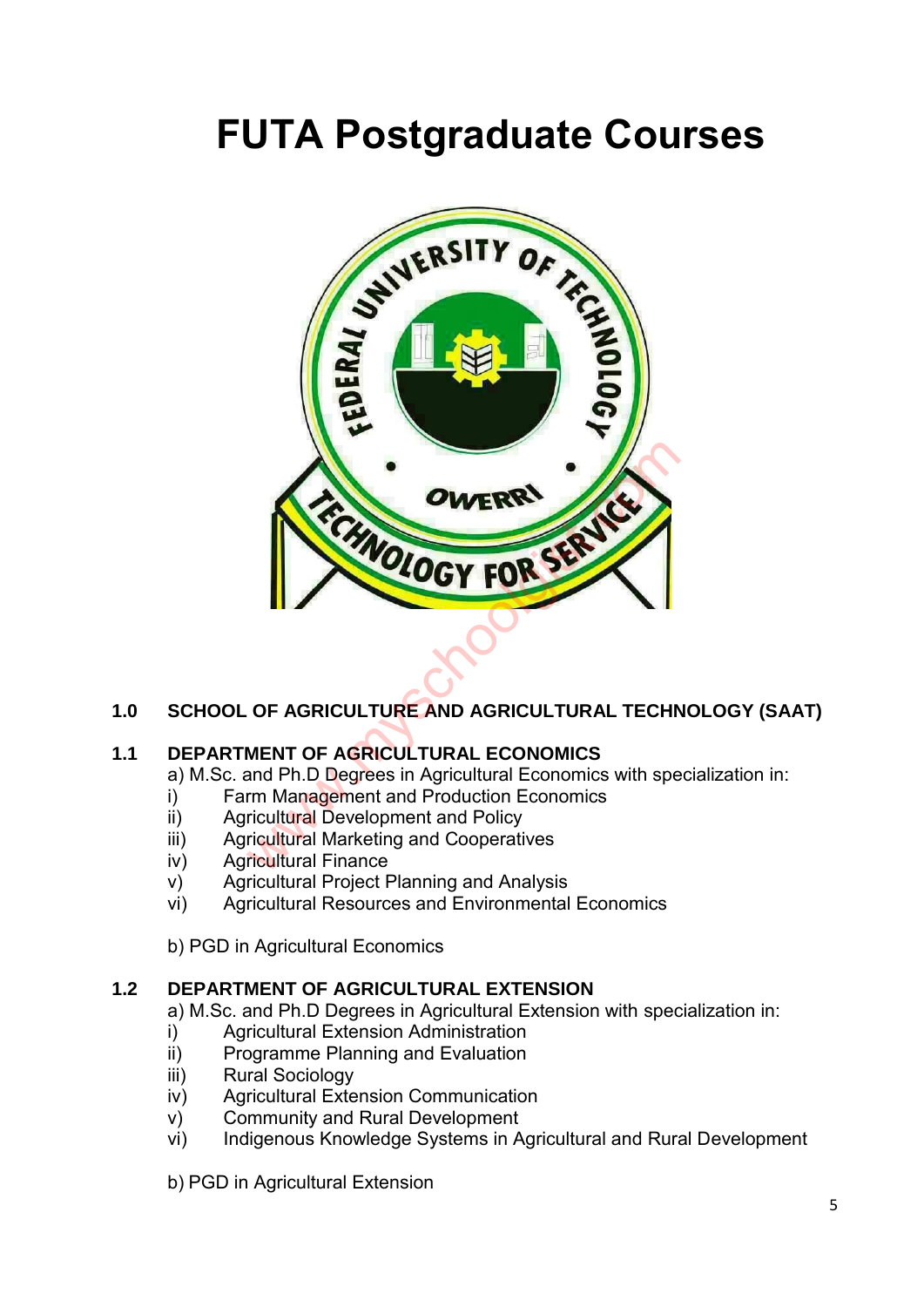# **FUTA Postgraduate Courses**



# **1.0 SCHOOL OF AGRICULTURE AND AGRICULTURAL TECHNOLOGY (SAAT)**

# **1.1 DEPARTMENT OF AGRICULTURAL ECONOMICS**

a) M.Sc. and Ph.D Degrees in Agricultural Economics with specialization in:

- i) Farm Management and Production Economics
- ii) Agricultural Development and Policy
- iii) Agricultural Marketing and Cooperatives
- iv) Agricultural Finance
- v) Agricultural Project Planning and Analysis
- vi) Agricultural Resources and Environmental Economics
- b) PGD in Agricultural Economics

#### **1.2 DEPARTMENT OF AGRICULTURAL EXTENSION**

a) M.Sc. and Ph.D Degrees in Agricultural Extension with specialization in:

- i) Agricultural Extension Administration
- ii) Programme Planning and Evaluation
- iii) Rural Sociology
- iv) Agricultural Extension Communication
- v) Community and Rural Development
- vi) Indigenous Knowledge Systems in Agricultural and Rural Development
- b) PGD in Agricultural Extension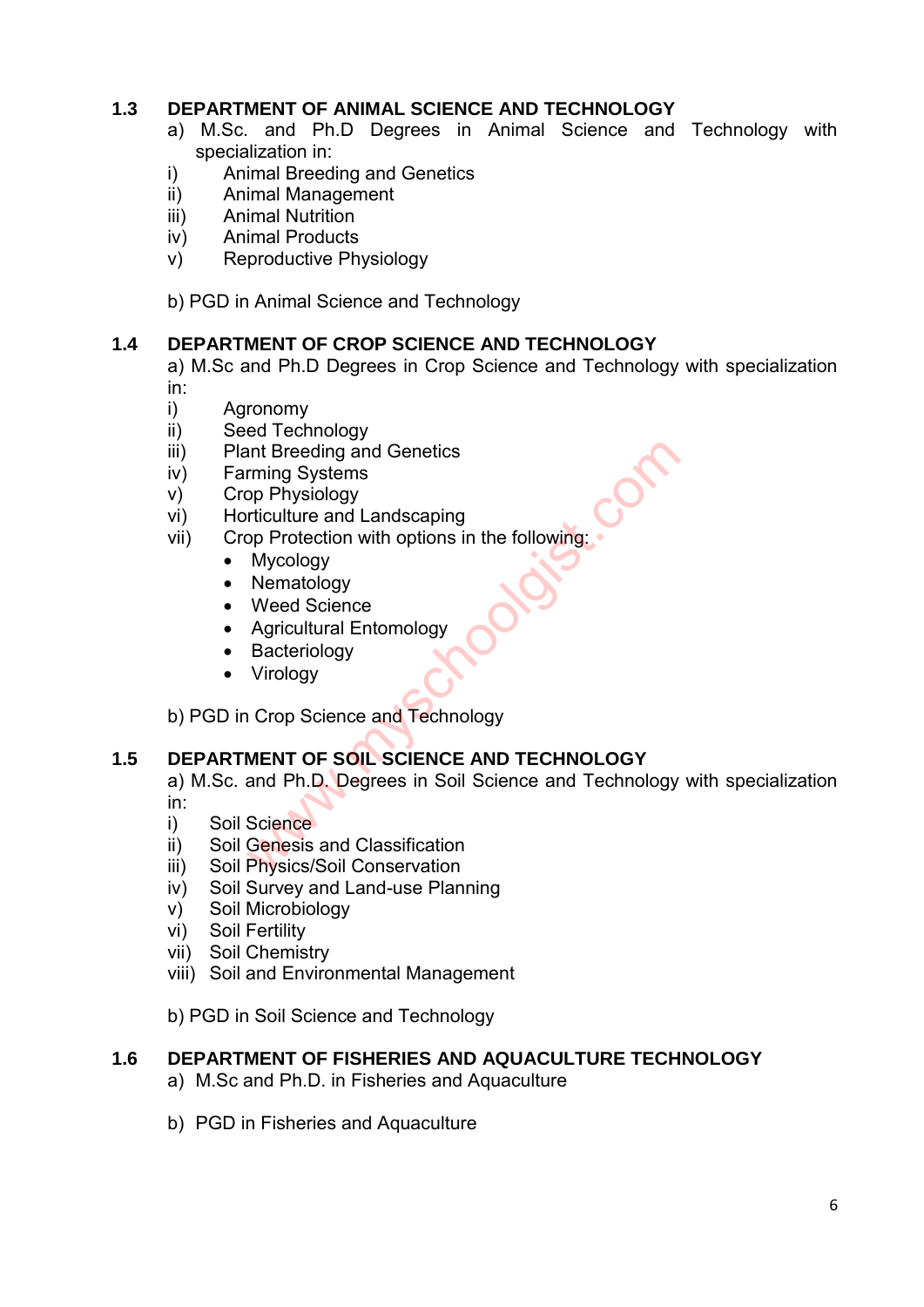# **1.3 DEPARTMENT OF ANIMAL SCIENCE AND TECHNOLOGY**

- a) M.Sc. and Ph.D Degrees in Animal Science and Technology with specialization in:
- i) Animal Breeding and Genetics
- ii) Animal Management
- iii) Animal Nutrition
- iv) Animal Products
- v) Reproductive Physiology

b) PGD in Animal Science and Technology

#### **1.4 DEPARTMENT OF CROP SCIENCE AND TECHNOLOGY**

a) M.Sc and Ph.D Degrees in Crop Science and Technology with specialization in:

- i) Agronomy
- ii) Seed Technology
- iii) Plant Breeding and Genetics
- iv) Farming Systems
- v) Crop Physiology
- vi) Horticulture and Landscaping
- vii) Crop Protection with options in the following:
	- Mycology
	- Nematology
	- Weed Science
	- Agricultural Entomology
	- Bacteriology
	- Virology

b) PGD in Crop Science and Technology

# **1.5 DEPARTMENT OF SOIL SCIENCE AND TECHNOLOGY**

a) M.Sc. and Ph.D. Degrees in Soil Science and Technology with specialization in: ant Breeding and Genetics<br>
rming Systems<br>
op Physiology<br>
rrticulture and Landscaping<br>
op Protection with options in the following:<br>
Mycology<br>
Weed Science<br>
Agricultural Entomology<br>
Bacteriology<br>
Virology<br>
Virology<br>
Virolog

- i) Soil Science
- ii) Soil Genesis and Classification
- iii) Soil Physics/Soil Conservation
- iv) Soil Survey and Land-use Planning
- v) Soil Microbiology
- vi) Soil Fertility
- vii) Soil Chemistry
- viii) Soil and Environmental Management

b) PGD in Soil Science and Technology

#### **1.6 DEPARTMENT OF FISHERIES AND AQUACULTURE TECHNOLOGY**

- a) M.Sc and Ph.D. in Fisheries and Aquaculture
- b) PGD in Fisheries and Aquaculture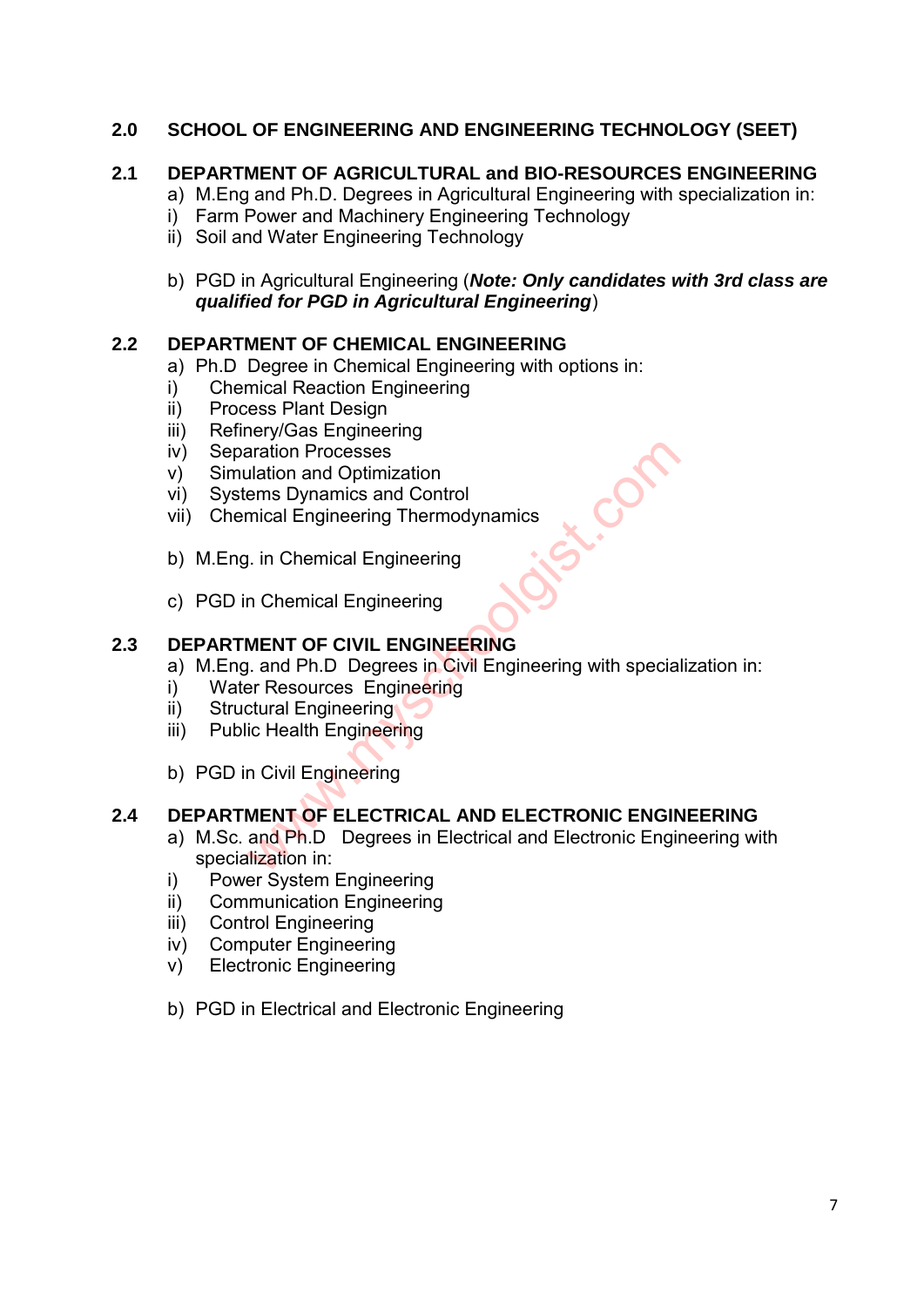# **2.0 SCHOOL OF ENGINEERING AND ENGINEERING TECHNOLOGY (SEET)**

# **2.1 DEPARTMENT OF AGRICULTURAL and BIO-RESOURCES ENGINEERING**

- a) M.Eng and Ph.D. Degrees in Agricultural Engineering with specialization in:
- i) Farm Power and Machinery Engineering Technology
- ii) Soil and Water Engineering Technology
- b) PGD in Agricultural Engineering (*Note: Only candidates with 3rd class are qualified for PGD in Agricultural Engineering*)

#### **2.2 DEPARTMENT OF CHEMICAL ENGINEERING**

- a) Ph.D Degree in Chemical Engineering with options in:
- i) Chemical Reaction Engineering
- ii) Process Plant Design
- iii) Refinery/Gas Engineering
- iv) Separation Processes
- v) Simulation and Optimization
- vi) Systems Dynamics and Control
- vii) Chemical Engineering Thermodynamics
- b) M.Eng. in Chemical Engineering
- c) PGD in Chemical Engineering

# **2.3 DEPARTMENT OF CIVIL ENGINEERING**

- a) M.Eng. and Ph.D Degrees in Civil Engineering with specialization in:
- i) Water Resources Engineering
- ii) Structural Engineering
- iii) Public Health Engineering
- b) PGD in Civil Engineering

# **2.4 DEPARTMENT OF ELECTRICAL AND ELECTRONIC ENGINEERING**

- a) M.Sc. and Ph.D Degrees in Electrical and Electronic Engineering with specialization in: aration Processes<br>
Lation and Optimization<br>
ems Dynamics and Control<br>
mical Engineering Thermodynamics<br>
1. in Chemical Engineering<br> **MENT OF CIVIL ENGINEERING**<br>
1. and Ph.D Degrees in Civil Engineering<br>
lic Health Engineer
- i) Power System Engineering
- ii) Communication Engineering
- iii) Control Engineering
- iv) Computer Engineering
- v) Electronic Engineering
- b) PGD in Electrical and Electronic Engineering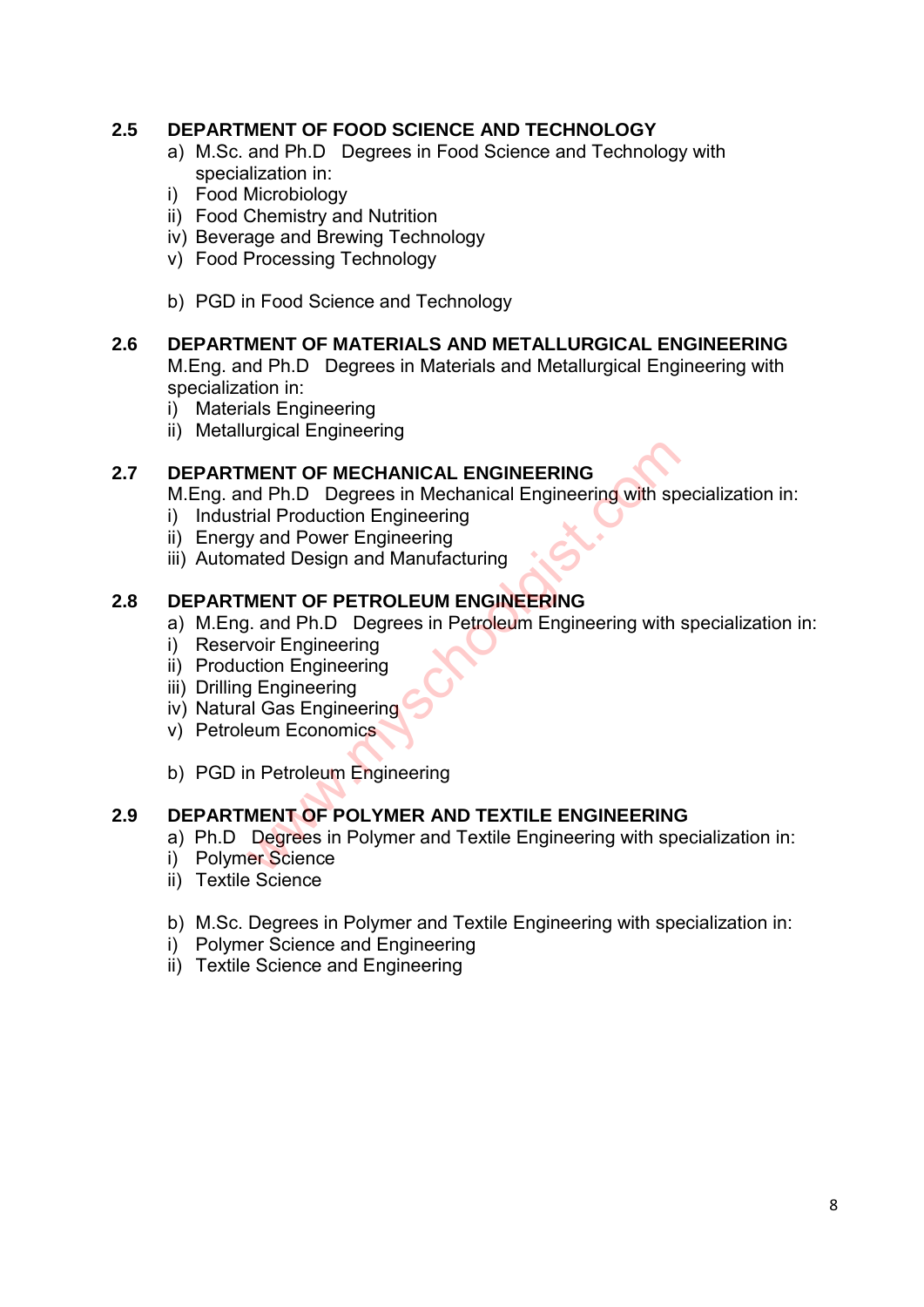# **2.5 DEPARTMENT OF FOOD SCIENCE AND TECHNOLOGY**

- a) M.Sc. and Ph.D Degrees in Food Science and Technology with specialization in:
- i) Food Microbiology
- ii) Food Chemistry and Nutrition
- iv) Beverage and Brewing Technology
- v) Food Processing Technology
- b) PGD in Food Science and Technology

# **2.6 DEPARTMENT OF MATERIALS AND METALLURGICAL ENGINEERING**

M.Eng. and Ph.D Degrees in Materials and Metallurgical Engineering with specialization in:

- i) Materials Engineering
- ii) Metallurgical Engineering

#### **2.7 DEPARTMENT OF MECHANICAL ENGINEERING**

M.Eng. and Ph.D Degrees in Mechanical Engineering with specialization in:

- i) Industrial Production Engineering
- ii) Energy and Power Engineering
- iii) Automated Design and Manufacturing

#### **2.8 DEPARTMENT OF PETROLEUM ENGINEERING**

- a) M.Eng. and Ph.D Degrees in Petroleum Engineering with specialization in:
- i) Reservoir Engineering
- ii) Production Engineering
- iii) Drilling Engineering
- iv) Natural Gas Engineering
- v) Petroleum Economics
- b) PGD in Petroleum Engineering

# **2.9 DEPARTMENT OF POLYMER AND TEXTILE ENGINEERING**  MENT OF MECHANICAL ENGINEERING<br>
IMENT OF MECHANICAL ENGINEERING<br>
Trial Production Engineering<br>
y and Power Engineering<br>
went Tof PETROLEUM ENGINEERING<br>
MENT OF PETROLEUM ENGINEERING<br>
coin Engineering<br>
g Engineering<br>
g Engi

- a) Ph.D Degrees in Polymer and Textile Engineering with specialization in:
- i) Polymer Science
- ii) Textile Science
- b) M.Sc. Degrees in Polymer and Textile Engineering with specialization in:
- i) Polymer Science and Engineering
- ii) Textile Science and Engineering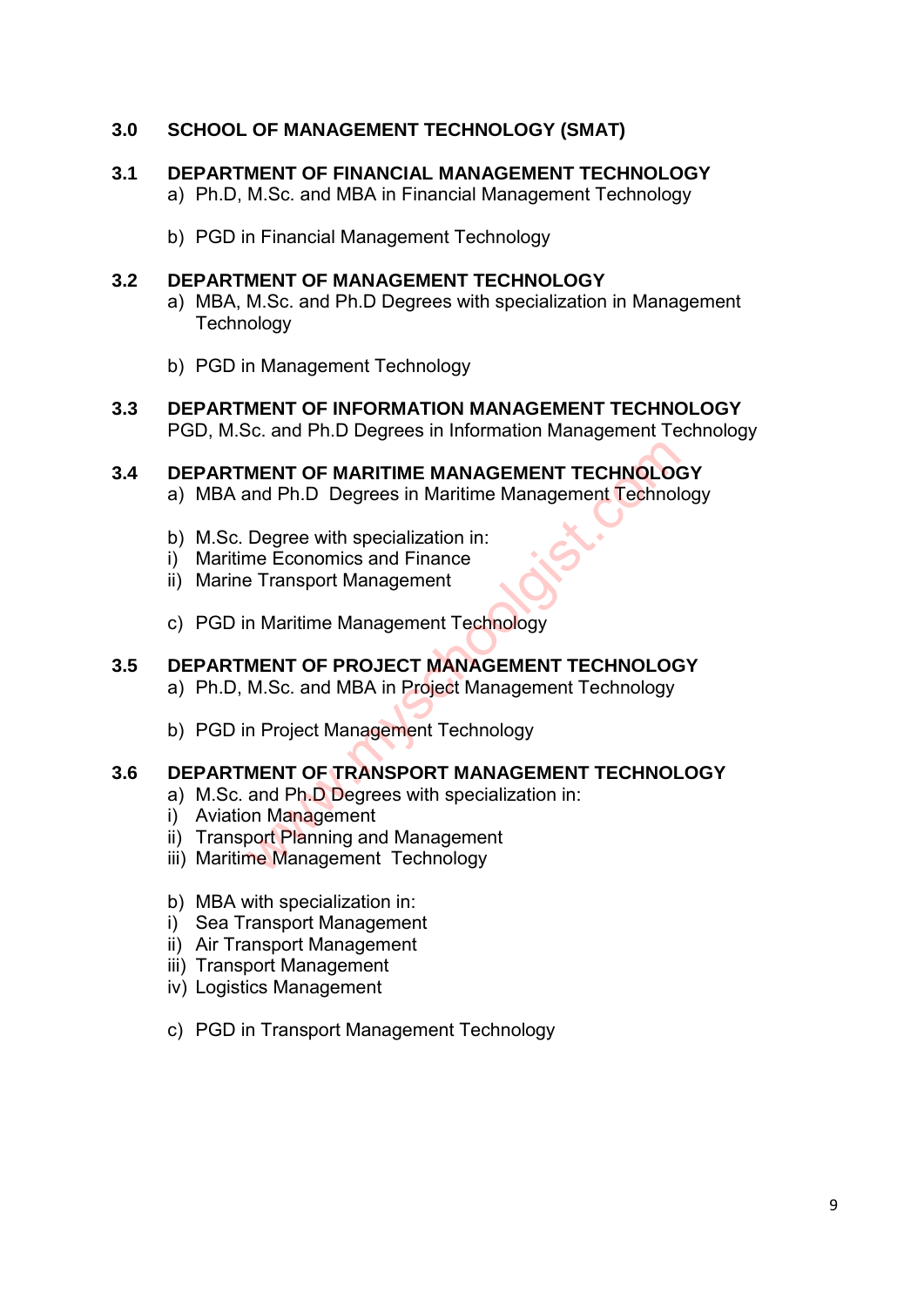# **3.0 SCHOOL OF MANAGEMENT TECHNOLOGY (SMAT)**

#### **3.1 DEPARTMENT OF FINANCIAL MANAGEMENT TECHNOLOGY**

- a) Ph.D, M.Sc. and MBA in Financial Management Technology
- b) PGD in Financial Management Technology

#### **3.2 DEPARTMENT OF MANAGEMENT TECHNOLOGY**

- a) MBA, M.Sc. and Ph.D Degrees with specialization in Management **Technology**
- b) PGD in Management Technology
- **3.3 DEPARTMENT OF INFORMATION MANAGEMENT TECHNOLOGY**  PGD, M.Sc. and Ph.D Degrees in Information Management Technology

# **3.4 DEPARTMENT OF MARITIME MANAGEMENT TECHNOLOGY**  MENT OF MARITIME MANAGEMENT TECHNOLOO<br>
and Ph.D Degrees in Maritime Management Technol<br>
Degree with specialization in:<br>
Transport Management<br>
Transport Management Technology<br>
MENT OF PROJECT MANAGEMENT TECHNOLOO<br>
M.Sc. and

- a) MBA and Ph.D Degrees in Maritime Management Technology
- b) M.Sc. Degree with specialization in:
- i) Maritime Economics and Finance
- ii) Marine Transport Management
- c) PGD in Maritime Management Technology

#### **3.5 DEPARTMENT OF PROJECT MANAGEMENT TECHNOLOGY**

- a) Ph.D, M.Sc. and MBA in Project Management Technology
- b) PGD in Project Management Technology

#### **3.6 DEPARTMENT OF TRANSPORT MANAGEMENT TECHNOLOGY**

- a) M.Sc. and Ph.D Degrees with specialization in:
- i) Aviation Management
- ii) Transport Planning and Management
- iii) Maritime Management Technology
- b) MBA with specialization in:
- i) Sea Transport Management
- ii) Air Transport Management
- iii) Transport Management
- iv) Logistics Management
- c) PGD in Transport Management Technology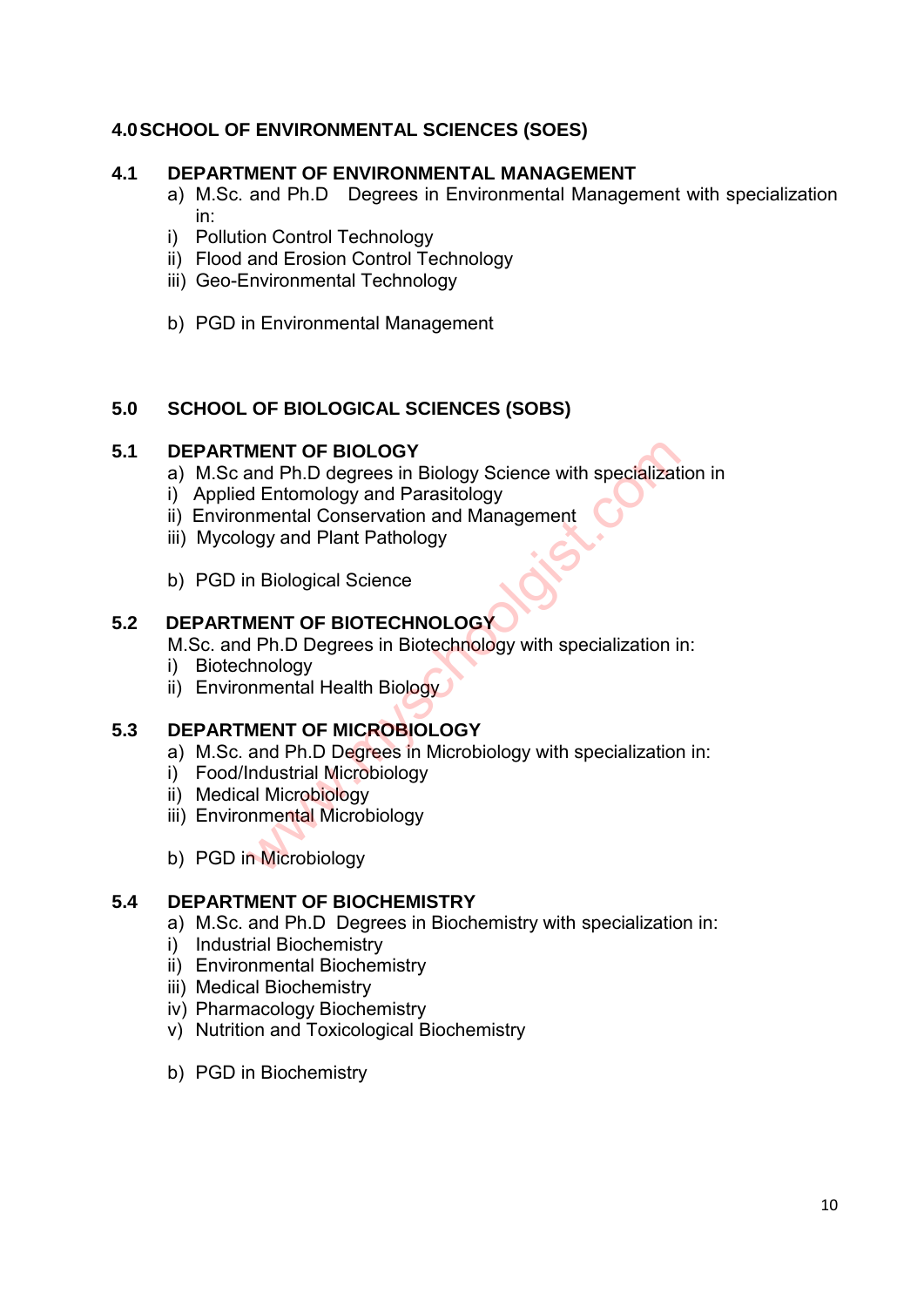# **4.0 SCHOOL OF ENVIRONMENTAL SCIENCES (SOES)**

#### **4.1 DEPARTMENT OF ENVIRONMENTAL MANAGEMENT**

- a) M.Sc. and Ph.D Degrees in Environmental Management with specialization in:
- i) Pollution Control Technology
- ii) Flood and Erosion Control Technology
- iii) Geo-Environmental Technology
- b) PGD in Environmental Management

#### **5.0 SCHOOL OF BIOLOGICAL SCIENCES (SOBS)**

#### **5.1 DEPARTMENT OF BIOLOGY**

- a) M.Sc and Ph.D degrees in Biology Science with specialization in MENT OF BIOLOGY<br>
and Ph.D degrees in Biology Science with specializat<br>
d Entomology and Parasitology<br>
nmental Conservation and Management<br>
ogy and Plant Pathology<br>
n Biological Science<br>
MENT OF BIOTECHNOLOGY<br>
MENT OF MICRO
- i) Applied Entomology and Parasitology
- ii) Environmental Conservation and Management
- iii) Mycology and Plant Pathology
- b) PGD in Biological Science

#### **5.2 DEPARTMENT OF BIOTECHNOLOGY**

M.Sc. and Ph.D Degrees in Biotechnology with specialization in:

- i) Biotechnology
- ii) Environmental Health Biology

# **5.3 DEPARTMENT OF MICROBIOLOGY**

- a) M.Sc. and Ph.D Degrees in Microbiology with specialization in:
- i) Food/Industrial Microbiology
- ii) Medical Microbiology
- iii) Environmental Microbiology
- b) PGD in Microbiology

#### **5.4 DEPARTMENT OF BIOCHEMISTRY**

- a) M.Sc. and Ph.D Degrees in Biochemistry with specialization in:
- i) Industrial Biochemistry
- ii) Environmental Biochemistry
- iii) Medical Biochemistry
- iv) Pharmacology Biochemistry
- v) Nutrition and Toxicological Biochemistry
- b) PGD in Biochemistry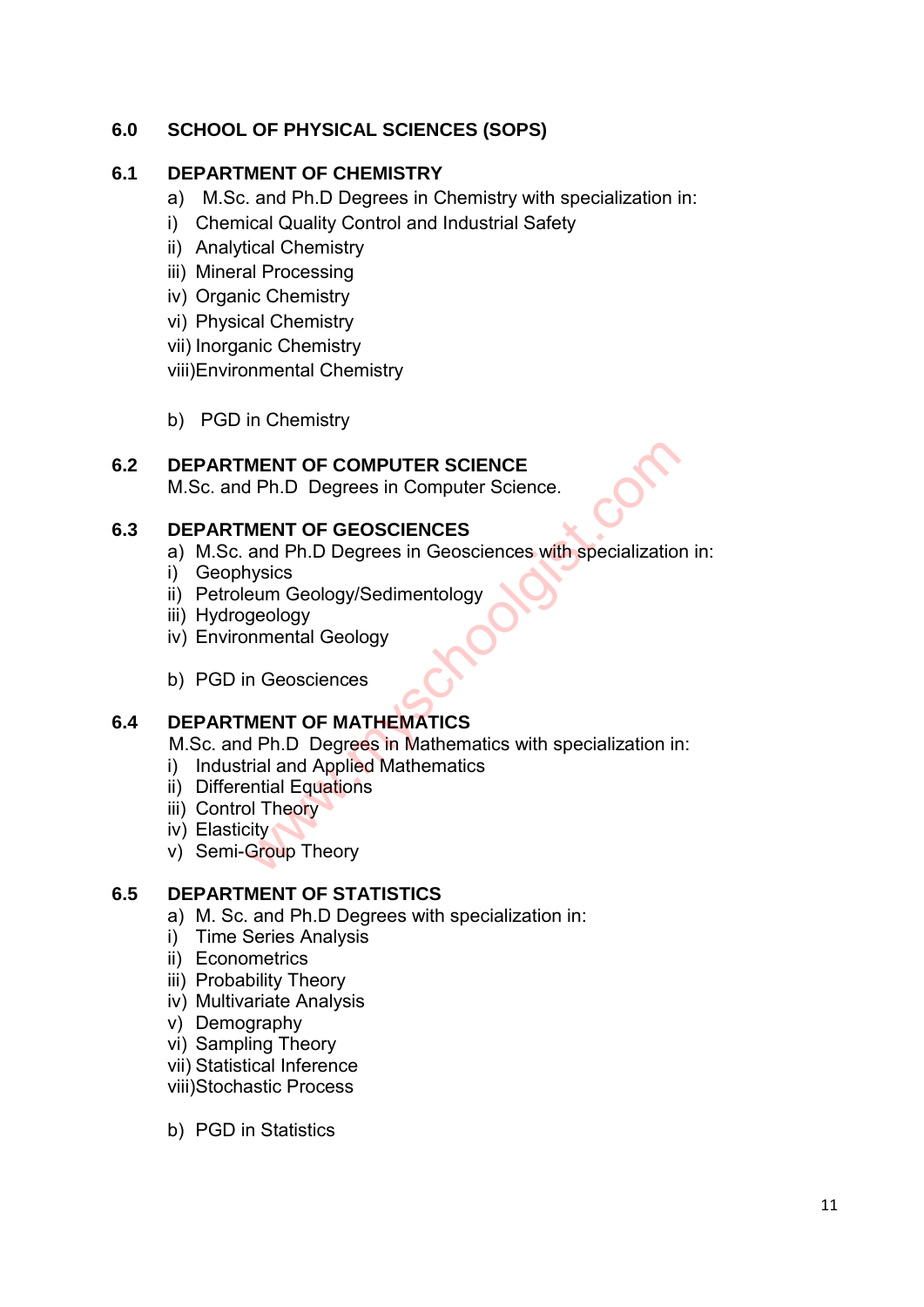# **6.0 SCHOOL OF PHYSICAL SCIENCES (SOPS)**

### **6.1 DEPARTMENT OF CHEMISTRY**

- a) M.Sc. and Ph.D Degrees in Chemistry with specialization in:
- i) Chemical Quality Control and Industrial Safety
- ii) Analytical Chemistry
- iii) Mineral Processing
- iv) Organic Chemistry
- vi) Physical Chemistry
- vii) Inorganic Chemistry

viii)Environmental Chemistry

b) PGD in Chemistry

# **6.2 DEPARTMENT OF COMPUTER SCIENCE**

M.Sc. and Ph.D Degrees in Computer Science.

#### **6.3 DEPARTMENT OF GEOSCIENCES**

- a) M.Sc. and Ph.D Degrees in Geosciences with specialization in: MENT OF COMPUTER SCIENCE<br>
MENT OF GEOSCIENCES<br>
MENT OF GEOSCIENCES<br>
and Ph.D Degrees in Geosciences with specialization<br>
vysics<br>
eum Geology/Sedimentology<br>
geology<br>
nnental Geology<br>
nnental Geology<br>
nnental Geology<br>
nnenta
- i) Geophysics
- ii) Petroleum Geology/Sedimentology
- iii) Hydrogeology
- iv) Environmental Geology
- b) PGD in Geosciences

# **6.4 DEPARTMENT OF MATHEMATICS**

M.Sc. and Ph.D Degrees in Mathematics with specialization in:

- i) Industrial and Applied Mathematics
- ii) Differential Equations
- iii) Control Theory
- iv) Elasticity
- v) Semi-Group Theory

# **6.5 DEPARTMENT OF STATISTICS**

- a) M. Sc. and Ph.D Degrees with specialization in:
- i) Time Series Analysis
- ii) Econometrics
- iii) Probability Theory
- iv) Multivariate Analysis
- v) Demography
- vi) Sampling Theory
- vii) Statistical Inference
- viii)Stochastic Process
- b) PGD in Statistics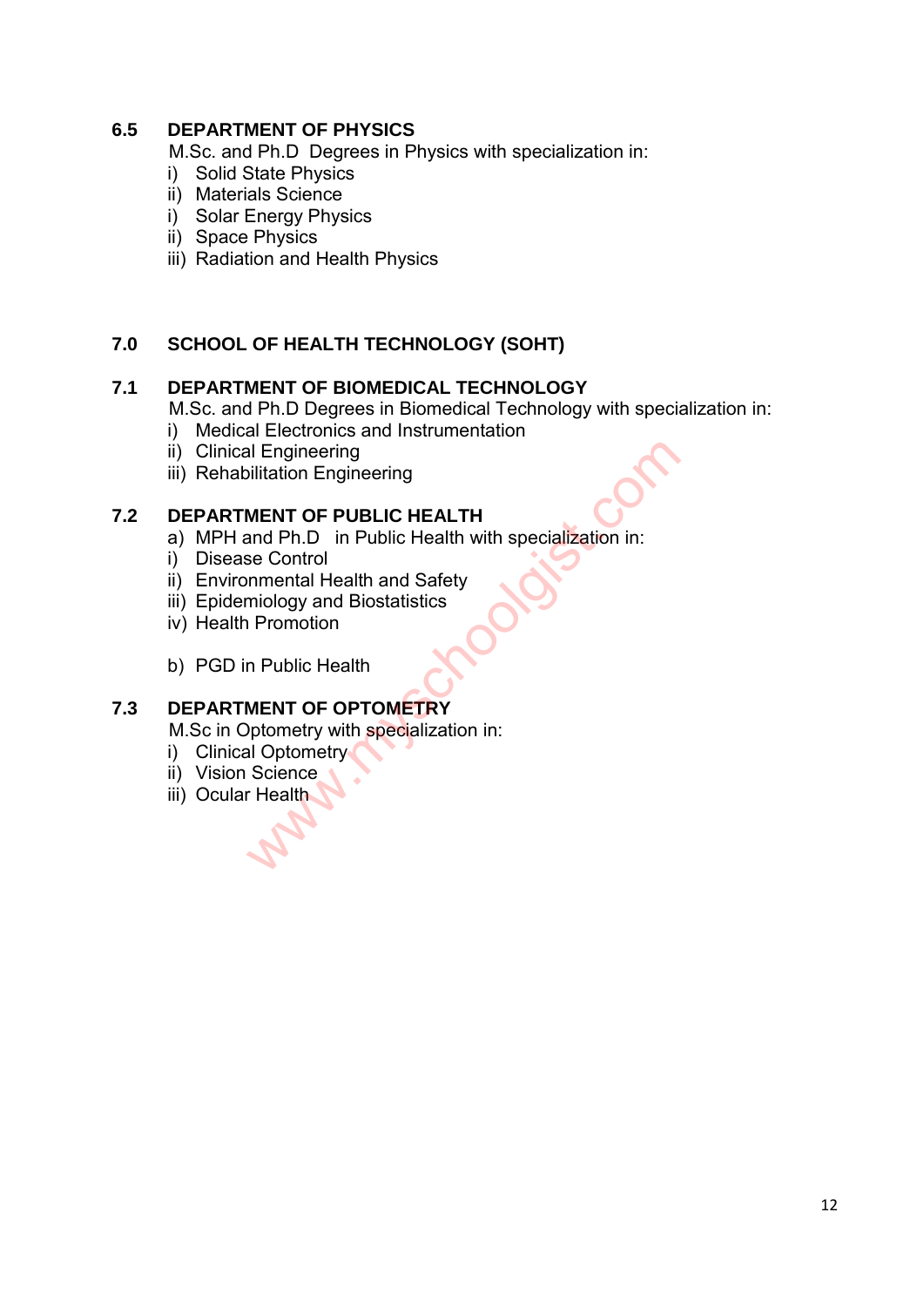### **6.5 DEPARTMENT OF PHYSICS**

M.Sc. and Ph.D Degrees in Physics with specialization in:

- i) Solid State Physics
- ii) Materials Science
- i) Solar Energy Physics
- ii) Space Physics
- iii) Radiation and Health Physics

# **7.0 SCHOOL OF HEALTH TECHNOLOGY (SOHT)**

#### **7.1 DEPARTMENT OF BIOMEDICAL TECHNOLOGY**

M.Sc. and Ph.D Degrees in Biomedical Technology with specialization in:

- i) Medical Electronics and Instrumentation
- ii) Clinical Engineering
- iii) Rehabilitation Engineering

#### **7.2 DEPARTMENT OF PUBLIC HEALTH**

- a) MPH and Ph.D in Public Health with specialization in: al Engineering<br>
ilitation Engineering<br>
MENT OF PUBLIC HEALTH<br>
and Ph.D in Public Health with specialization in:<br>
se Control<br>
Inmental Health and Safety<br>
miology and Biostatistics<br>
Promotion<br>
n Public Health<br>
MENT OF OPTOME
- i) Disease Control
- ii) Environmental Health and Safety
- iii) Epidemiology and Biostatistics
- iv) Health Promotion
- b) PGD in Public Health

# **7.3 DEPARTMENT OF OPTOMETRY**

M.Sc in Optometry with specialization in:

- i) Clinical Optometry
- ii) Vision Science
- iii) Ocular Health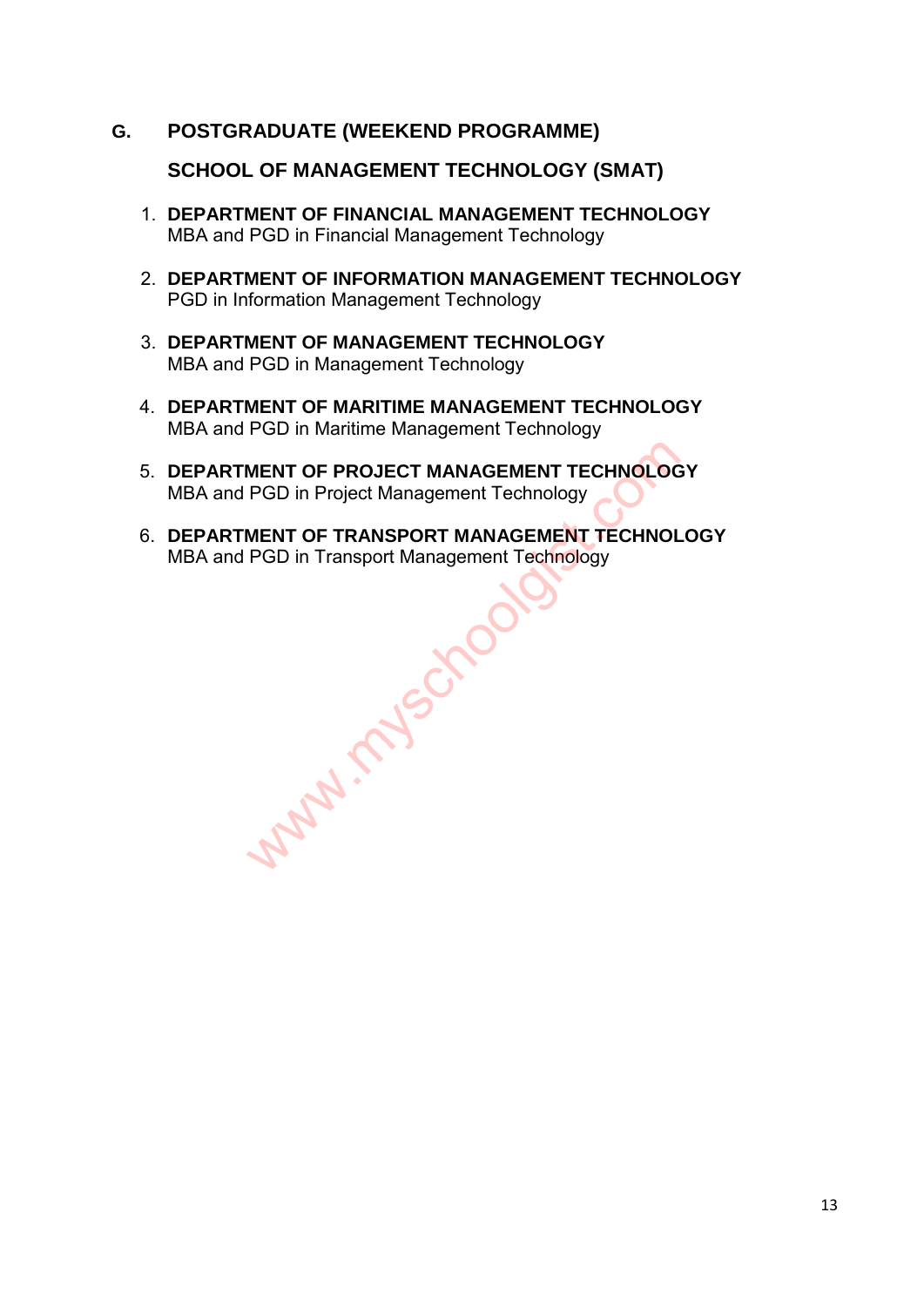**G. POSTGRADUATE (WEEKEND PROGRAMME)**

**SCHOOL OF MANAGEMENT TECHNOLOGY (SMAT)**

- 1. **DEPARTMENT OF FINANCIAL MANAGEMENT TECHNOLOGY** MBA and PGD in Financial Management Technology
- 2. **DEPARTMENT OF INFORMATION MANAGEMENT TECHNOLOGY** PGD in Information Management Technology
- 3. **DEPARTMENT OF MANAGEMENT TECHNOLOGY** MBA and PGD in Management Technology
- 4. **DEPARTMENT OF MARITIME MANAGEMENT TECHNOLOGY** MBA and PGD in Maritime Management Technology
- 5. **DEPARTMENT OF PROJECT MANAGEMENT TECHNOLOGY** MBA and PGD in Project Management Technology
- 6. **DEPARTMENT OF TRANSPORT MANAGEMENT TECHNOLOGY** MBA and PGD in Transport Management Technology

www.myschoolgis